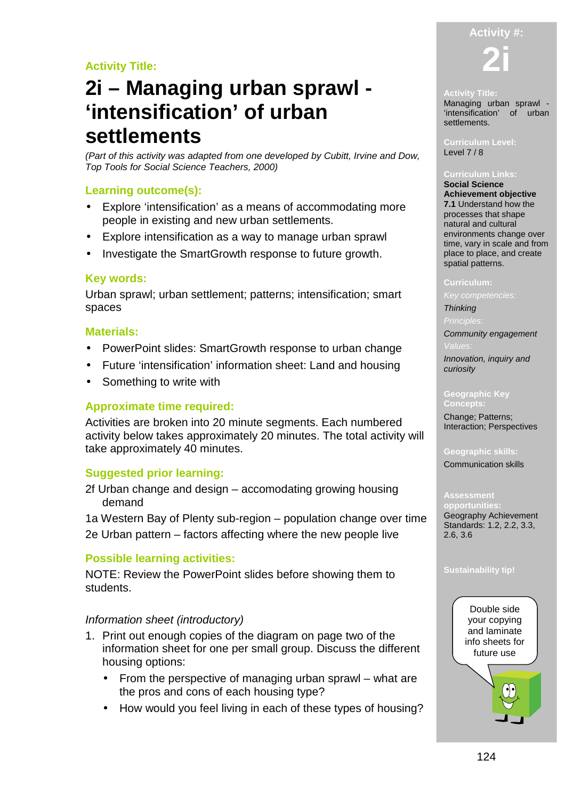### **Activity Title:**

# **2i – Managing urban sprawl - 'intensification' of urban settlements**

(Part of this activity was adapted from one developed by Cubitt, Irvine and Dow, Top Tools for Social Science Teachers, 2000)

### **Learning outcome(s):**

- Explore 'intensification' as a means of accommodating more people in existing and new urban settlements.
- Explore intensification as a way to manage urban sprawl
- Investigate the SmartGrowth response to future growth.

### **Key words:**

Urban sprawl; urban settlement; patterns; intensification; smart spaces

### **Materials:**

- PowerPoint slides: SmartGrowth response to urban change
- Future 'intensification' information sheet: Land and housing
- Something to write with

### **Approximate time required:**

Activities are broken into 20 minute segments. Each numbered activity below takes approximately 20 minutes. The total activity will take approximately 40 minutes.

### **Suggested prior learning:**

2f Urban change and design – accomodating growing housing demand

1a Western Bay of Plenty sub-region – population change over time 2e Urban pattern – factors affecting where the new people live

### **Possible learning activities:**

NOTE: Review the PowerPoint slides before showing them to students.

### Information sheet (introductory)

- 1. Print out enough copies of the diagram on page two of the information sheet for one per small group. Discuss the different housing options:
	- From the perspective of managing urban sprawl what are the pros and cons of each housing type?
	- How would you feel living in each of these types of housing?

## **Activity #:**

**2i** 

#### **Activity Title:**

Managing urban sprawl - 'intensification' of urban settlements.

**Curriculum Level:**  Level 7/8

#### **Curriculum Links: Social Science**

**Achievement objective 7.1** Understand how the processes that shape natural and cultural environments change over time, vary in scale and from place to place, and create spatial patterns.

#### **Curriculum:**

#### **Thinking**

Community engagement

Innovation, inquiry and curiosity

#### **Geographic Key**

**Concepts:** 

Change; Patterns; Interaction; Perspectives

### **Geographic skills:**

Communication skills

**opportunities:**  Geography Achievement Standards: 1.2, 2.2, 3.3, 2.6, 3.6

#### **Sustainability tip!**